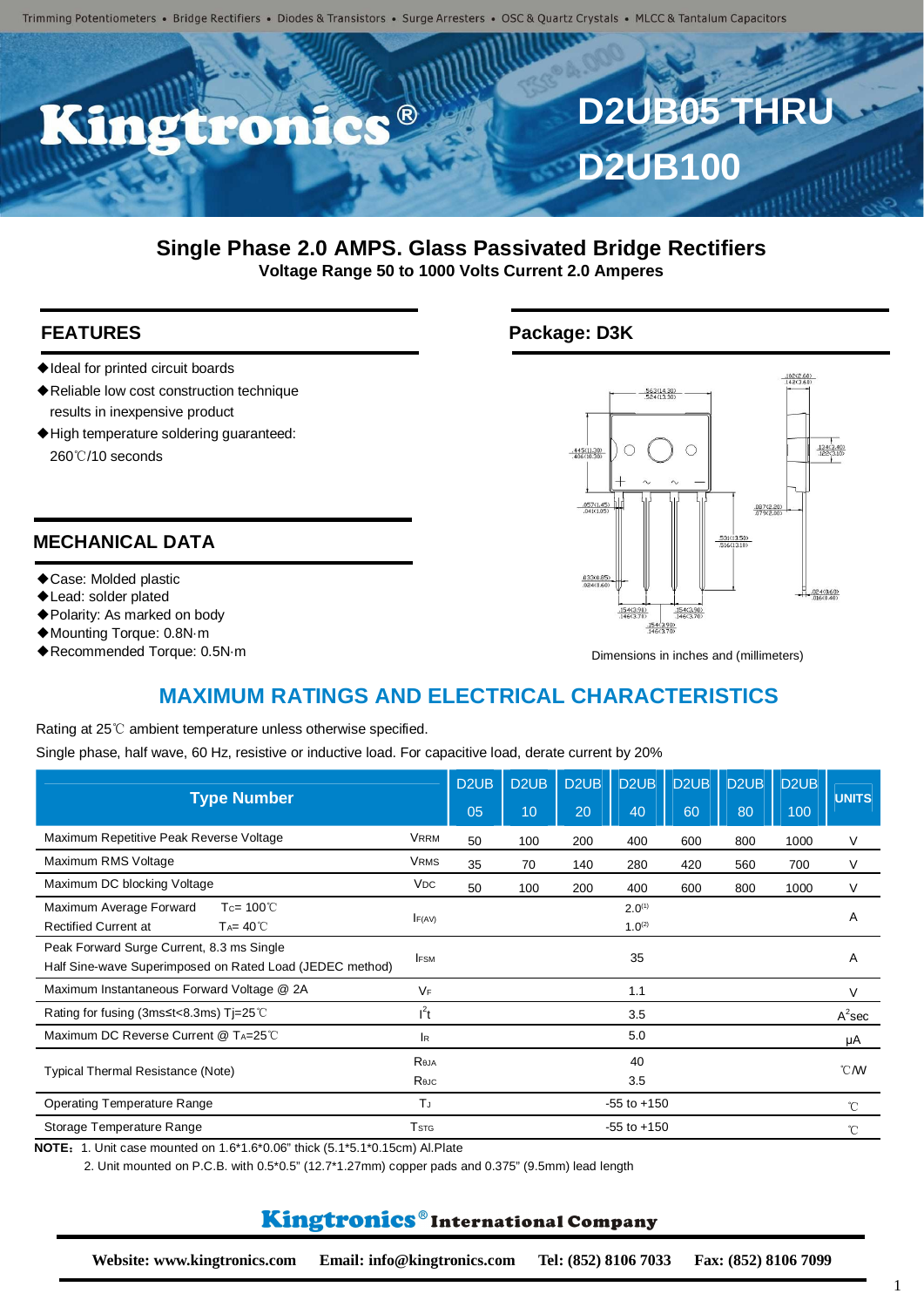

#### **Single Phase 2.0 AMPS. Glass Passivated Bridge Rectifiers Voltage Range 50 to 1000 Volts Current 2.0 Amperes**

- ◆Ideal for printed circuit boards
- ◆Reliable low cost construction technique results in inexpensive product
- ◆High temperature soldering guaranteed: 260℃/10 seconds

#### **MECHANICAL DATA**

- ◆Case: Molded plastic
- ◆Lead: solder plated
- ◆Polarity: As marked on body
- ◆Mounting Torque: 0.8N·m
- ◆Recommended Torque: 0.5N·m

### **FEATURES** Package: D3K



Dimensions in inches and (millimeters)

# **MAXIMUM RATINGS AND ELECTRICAL CHARACTERISTICS**

Rating at 25℃ ambient temperature unless otherwise specified.

Single phase, half wave, 60 Hz, resistive or inductive load. For capacitive load, derate current by 20%

| <b>Type Number</b>                                                                                    |                         | D <sub>2</sub> U <sub>B</sub> | D <sub>2</sub> U <sub>B</sub> | D <sub>2</sub> UB | D <sub>2</sub> U <sub>B</sub>     | D <sub>2</sub> UB | D <sub>2</sub> U <sub>B</sub> | D <sub>2</sub> U <sub>B</sub> | <b>UNITS</b>   |  |
|-------------------------------------------------------------------------------------------------------|-------------------------|-------------------------------|-------------------------------|-------------------|-----------------------------------|-------------------|-------------------------------|-------------------------------|----------------|--|
|                                                                                                       |                         | 05                            | 10                            | 20                | 40                                | 60                | 80                            | 100                           |                |  |
| Maximum Repetitive Peak Reverse Voltage                                                               | <b>VRRM</b>             | 50                            | 100                           | 200               | 400                               | 600               | 800                           | 1000                          | V              |  |
| Maximum RMS Voltage                                                                                   | <b>VRMS</b>             | 35                            | 70                            | 140               | 280                               | 420               | 560                           | 700                           | V              |  |
| Maximum DC blocking Voltage                                                                           | <b>VDC</b>              | 50                            | 100                           | 200               | 400                               | 600               | 800                           | 1000                          | V              |  |
| Maximum Average Forward<br>Tc= $100^{\circ}$ C<br><b>Rectified Current at</b><br>$Ta = 40^{\circ}C$   | F(AV)                   |                               |                               |                   | 2.0 <sup>(1)</sup><br>$1.0^{(2)}$ |                   |                               |                               | A              |  |
| Peak Forward Surge Current, 8.3 ms Single<br>Half Sine-wave Superimposed on Rated Load (JEDEC method) | <b>IFSM</b>             |                               |                               |                   | 35                                |                   |                               |                               | A              |  |
| Maximum Instantaneous Forward Voltage @ 2A                                                            | <b>VF</b>               |                               |                               |                   | 1.1                               |                   |                               |                               | $\vee$         |  |
| Rating for fusing (3ms $\leq t < 8.3$ ms) Tj=25 °C                                                    | $l^2t$                  |                               |                               |                   | 3.5                               |                   |                               |                               | $A^2$ sec      |  |
| Maximum DC Reverse Current @ TA=25°C                                                                  | <b>IR</b>               |                               |                               |                   | 5.0                               |                   |                               |                               | μA             |  |
| <b>Typical Thermal Resistance (Note)</b>                                                              | Reja                    |                               |                               |                   | 40                                |                   |                               |                               | $^{\circ}$ CMV |  |
|                                                                                                       | Reuc                    |                               |                               |                   | 3.5                               |                   |                               |                               |                |  |
| <b>Operating Temperature Range</b>                                                                    | T                       |                               |                               |                   | $-55$ to $+150$                   |                   |                               |                               | °C             |  |
| Storage Temperature Range                                                                             | <b>T</b> <sub>STG</sub> |                               |                               |                   | $-55$ to $+150$                   |                   |                               |                               | °C             |  |

**NOTE**:1. Unit case mounted on 1.6\*1.6\*0.06" thick (5.1\*5.1\*0.15cm) Al.Plate

2. Unit mounted on P.C.B. with 0.5\*0.5" (12.7\*1.27mm) copper pads and 0.375" (9.5mm) lead length

## Kingtronics®International Company

**Website: www.kingtronics.com Email: info@kingtronics.com Tel: (852) 8106 7033 Fax: (852) 8106 7099**

1